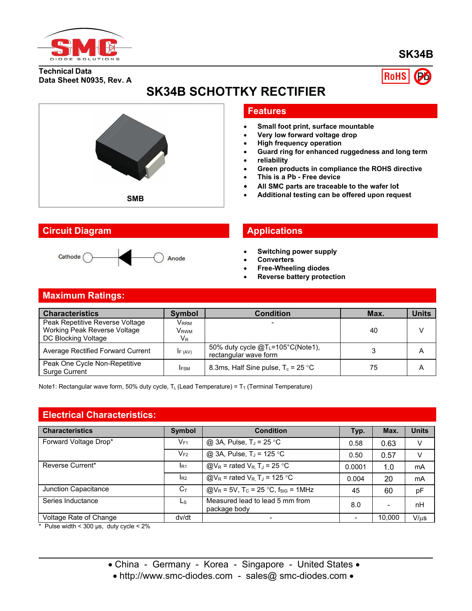

## **SK34B**

**Technical Data Data Sheet N0935, Rev. A**



# **SK34B SCHOTTKY RECTIFIER**



#### **Circuit Diagram Applications**



#### **Features**

- **Small foot print, surface mountable**
- **Very low forward voltage drop**
- **High frequency operation**
- **Guard ring for enhanced ruggedness and long term**
- **reliability**
- **Green products in compliance the ROHS directive**
- **This is a Pb - Free device**
- **All SMC parts are traceable to the wafer lot**
- **Additional testing can be offered upon request SMB**

- **Switching power supply**
- **Converters**
- **Free-Wheeling diodes**
- **Reverse battery protection**

#### **Maximum Ratings:**

| <b>Characteristics</b>                                | <b>Symbol</b>    | Condition                                                       | Max. | <b>Units</b>   |
|-------------------------------------------------------|------------------|-----------------------------------------------------------------|------|----------------|
| Peak Repetitive Reverse Voltage                       | V <sub>RRM</sub> |                                                                 |      |                |
| Working Peak Reverse Voltage                          | Vrwm             |                                                                 | 40   | $\mathcal{U}$  |
| DC Blocking Voltage                                   | $V_{R}$          |                                                                 |      |                |
| Average Rectified Forward Current                     | IF (AV)          | 50% duty cycle $@T_{L}$ =105°C(Note1),<br>rectangular wave form |      | $\overline{A}$ |
| Peak One Cycle Non-Repetitive<br><b>Surge Current</b> | <b>IFSM</b>      | 8.3ms, Half Sine pulse, $T_c = 25 \degree C$                    | 75   | A              |

Note1: Rectangular wave form, 50% duty cycle,  $T_L$  (Lead Temperature) =  $T_T$  (Terminal Temperature)

#### **Electrical Characteristics:**

| <b>Characteristics</b> | Symbol         | <b>Condition</b>                                                               | Typ.                     | Max.                     | <b>Units</b> |
|------------------------|----------------|--------------------------------------------------------------------------------|--------------------------|--------------------------|--------------|
| Forward Voltage Drop*  | $V_{F1}$       | @ 3A, Pulse, $T_J = 25$ °C                                                     | 0.58                     | 0.63                     | V            |
|                        | $V_{F2}$       | @ 3A, Pulse, T <sub>J</sub> = 125 °C                                           | 0.50                     | 0.57                     | v            |
| Reverse Current*       | $I_{R1}$       | $\textcircled{a}V_{R}$ = rated $V_{R}$ , T <sub>J</sub> = 25 °C                | 0.0001                   | 1.0                      | mA           |
|                        | $I_{R2}$       | $\textcircled{a}V_{\text{R}}$ = rated $V_{\text{R}}$ , T <sub>J</sub> = 125 °C | 0.004                    | 20                       | mA           |
| Junction Capacitance   | $C_{\text{T}}$ | $@V_R = 5V$ , T <sub>C</sub> = 25 °C, f <sub>SIG</sub> = 1MHz                  | 45                       | 60                       | pF           |
| Series Inductance      | Ls             | Measured lead to lead 5 mm from<br>package body                                | 8.0                      | $\overline{\phantom{0}}$ | nH           |
| Voltage Rate of Change | dv/dt          | $\overline{\phantom{0}}$                                                       | $\overline{\phantom{0}}$ | 10,000                   | $V/\mu s$    |

 $*$  Pulse width < 300 µs, duty cycle <  $2\%$ 

• China - Germany - Korea - Singapore - United States •

• http://www.smc-diodes.com - sales@ smc-diodes.com •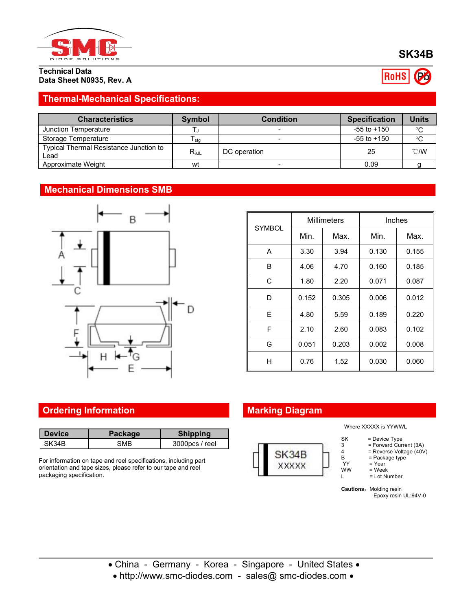

**Technical Data Data Sheet N0935, Rev. A**

## **Thermal-Mechanical Specifications:**

| <b>Characteristics</b>                         | <b>Symbol</b>   | <b>Condition</b> | <b>Specification</b> | Units          |
|------------------------------------------------|-----------------|------------------|----------------------|----------------|
| Junction Temperature                           |                 |                  | $-55$ to $+150$      | $^{\circ}$ C   |
| Storage Temperature                            | l stq           |                  | $-55$ to $+150$      | °C             |
| Typical Thermal Resistance Junction to<br>∟ead | $R_{\theta JL}$ | DC operation     | 25                   | $^{\circ}$ C/W |
| Approximate Weight                             | wt              |                  | 0.09                 |                |

#### **Mechanical Dimensions SMB**



|               | <b>Millimeters</b> |       | Inches |       |
|---------------|--------------------|-------|--------|-------|
| <b>SYMBOL</b> | Min.               | Max.  | Min.   | Max.  |
| A             | 3.30               | 3.94  | 0.130  | 0.155 |
| B             | 4.06               | 4.70  | 0.160  | 0.185 |
| C             | 1.80               | 2.20  | 0.071  | 0.087 |
| D             | 0.152              | 0.305 | 0.006  | 0.012 |
| E             | 4.80               | 5.59  | 0.189  | 0.220 |
| F             | 2.10               | 2.60  | 0.083  | 0.102 |
| G             | 0.051              | 0.203 | 0.002  | 0.008 |
| H             | 0.76               | 1.52  | 0.030  | 0.060 |

## **Ordering Information Marking Diagram**

| <b>Device</b> | Package | <b>Shipping</b> |
|---------------|---------|-----------------|
| SK34B         | SМB     | 3000pcs / reel  |

For information on tape and reel specifications, including part orientation and tape sizes, please refer to our tape and reel packaging specification.



Where XXXXX is YYWWL

- SK = Device Type<br>3 = Forward Curr
- 3 = Forward Current (3A)<br>4 = Reverse Voltage (40V)
- 4 = Reverse Voltage (40V)<br>B = Package type B = Package type
	-
- YY = Year<br>WW = Week  $\begin{array}{lll}\n\text{WW} & = \text{Week} \\
\text{L} & = \text{Lot Nu}\n\end{array}$ 
	- = Lot Number

**Cautions:** Molding resin Epoxy resin UL:94V-0

China - Germany - Korea - Singapore - United States

• http://www.smc-diodes.com - sales@ smc-diodes.com •

**RoHS** 

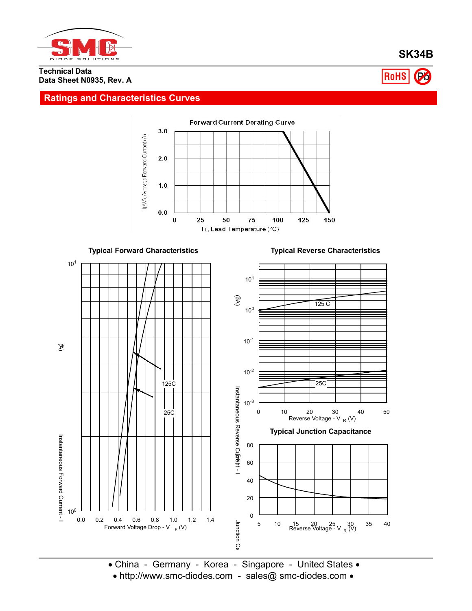

**SK34B**

**RoHS** 

#### **Technical Data Data Sheet N0935, Rev. A**

#### **Ratings and Characteristics Curves**



**Typical Forward Characteristics Typical Reverse Characteristics** 10<sup>1</sup>  $\Box$ 10<sup>1</sup>  $\equiv$  $\mathfrak{g}_{\mathsf{W}}$  $\frac{1}{\sqrt{2}}$  and  $\frac{1}{\sqrt{2}}$  and  $\frac{1}{\sqrt{2}}$  and  $\frac{1}{\sqrt{2}}$  and  $\frac{1}{\sqrt{2}}$  and  $\frac{1}{\sqrt{2}}$  and  $\frac{1}{\sqrt{2}}$  and  $\frac{1}{\sqrt{2}}$  and  $\frac{1}{\sqrt{2}}$  and  $\frac{1}{\sqrt{2}}$  and  $\frac{1}{\sqrt{2}}$  and  $\frac{1}{\sqrt{2}}$  and  $\frac{1}{\sqrt{2}}$  and  $125<sub>C</sub>$ 10 $^{\circ}$   $\equiv$  $10^{-1}$   $\equiv$  $\mathfrak{D}$ Current - I<br>Instantaneous Forward Current - I<br>(A)  $10^{-2}$   $\equiv$ 25C 125C Insurantaneous<br>Poemantaneous<br>S  $10^{-3}$  –– 25C 0 10 20 30 40 50 Reverse Voltage - V <sub>R</sub> (V) უ<br>მაი<br>მაი **Typical Junction Capacitance** Instantaneous 80 Curent -<br>Curent - $\frac{1}{2}$ <br>  $\frac{1}{2}$ <br>  $\frac{1}{2}$ <br>  $\frac{1}{2}$ <br>  $\frac{1}{2}$ <br>  $\frac{1}{2}$ <br>  $\frac{1}{2}$ <br>  $\frac{1}{2}$ <br>  $\frac{1}{2}$ <br>  $\frac{1}{2}$ <br>  $\frac{1}{2}$ <br>  $\frac{1}{2}$ <br>  $\frac{1}{2}$ <br>  $\frac{1}{2}$ <br>  $\frac{1}{2}$ <br>  $\frac{1}{2}$ <br>  $\frac{1}{2}$ <br>  $\frac{1}{2}$ <br>  $\frac{1}{2}$ <br>  $\frac{1}{2}$ <br> T F) 60 Forward 40 20 C<br>Duna<br>-<br>- $10^0$  <u>L l</u> 0 0.0 0.2 0.4 0.6 0.8 1.0 1.2 1.4 Junction 5 10 15 20 25 30 35 40 Reverse Voltage - V <sup>R</sup> (V) Forward Voltage Drop - V <sub>F</sub> (V)

R<br>
• China - Germany - Korea - Singapore - United States •<br>
• http://www.sms.diodos.com - sales@.sms.diodos.com •

• http://www.smc-diodes.com - sales@ smc-diodes.com •